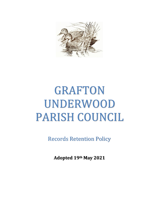

## GRAFTON UNDERWOOD PARISH COUNCIL

Records Retention Policy

**Adopted 19th May 2021**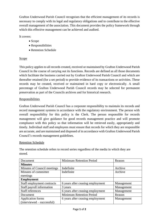Grafton Underwood Parish Council recognises that the efficient management of its records is necessary to comply with its legal and regulatory obligations and to contribute to the effective overall management of the association. This document provides the policy framework through which this effective management can be achieved and audited.

It covers:

- Scope
- Responsibilities
- Retention Schedule

## **Scope**

This policy applies to all records created, received or maintained by Grafton Underwood Parish Council in the course of carrying out its functions. Records are defined as all those documents which facilitate the business carried out by Grafton Underwood Parish Council and which are thereafter retained (for a set period) to provide evidence of its transactions or activities. These records may be created, received or maintained in hard copy or electronically. A small percentage of Grafton Underwood Parish Council records may be selected for permanent preservation as part of the Councils archives and for historical research.

## Responsibilities

Grafton Underwood Parish Council has a corporate responsibility to maintain its records and record management systems in accordance with the regulatory environment. The person with overall responsibility for this policy is the Clerk. The person responsible for records management will give guidance for good records management practice and will promote compliance with this policy so that information will be retrieved easily, appropriately and timely. Individual staff and employees must ensure that records for which they are responsible are accurate, and are maintained and disposed of in accordance with Grafton Underwood Parish Council's records management guidelines.

## Retention Schedule

The retention schedule refers to record series regardless of the media in which they are stored.

| Document                    | <b>Minimum Retention Period</b>  | Reason     |
|-----------------------------|----------------------------------|------------|
| <b>Minutes</b>              |                                  |            |
| Minutes of Council meetings | Indefinite                       | Archive    |
| Minutes of committee        | Indefinite                       | Archive    |
| meetings                    |                                  |            |
| <b>Employment</b>           |                                  |            |
| Staff employment contracts  | 6 years after ceasing employment | Management |
| Staff payroll information   | 3 years                          | Management |
| <b>Staff references</b>     | 6 years after ceasing employment | Management |
| Document                    | <b>Minimum Retention Period</b>  | Reason     |
| Application forms           | 6 years after ceasing employment | Management |
| $(intervised - successful)$ |                                  |            |